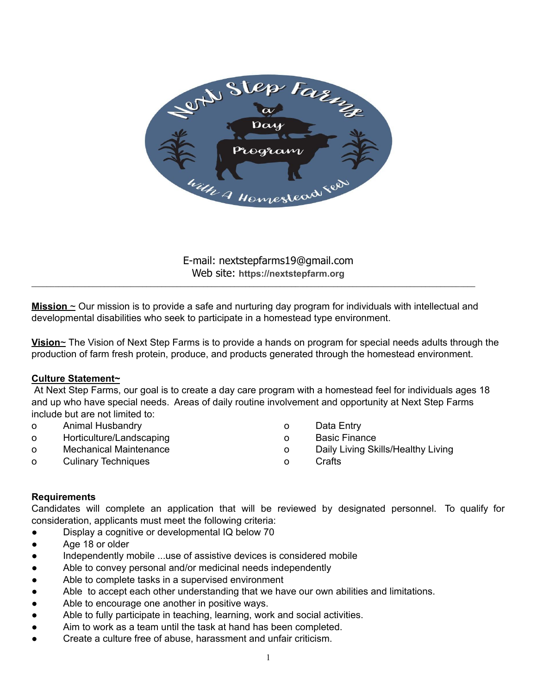

E-mail: nextstepfarms19@gmail.com Web site: **https://nextstepfarm.org**

**Mission** ~ Our mission is to provide a safe and nurturing day program for individuals with intellectual and developmental disabilities who seek to participate in a homestead type environment.

 $\_$  , and the state of the state of the state of the state of the state of the state of the state of the state of the state of the state of the state of the state of the state of the state of the state of the state of the

**Vision**~ The Vision of Next Step Farms is to provide a hands on program for special needs adults through the production of farm fresh protein, produce, and products generated through the homestead environment.

#### **Culture Statement~**

At Next Step Farms, our goal is to create a day care program with a homestead feel for individuals ages 18 and up who have special needs. Areas of daily routine involvement and opportunity at Next Step Farms include but are not limited to:

- o Animal Husbandry
- o Horticulture/Landscaping
- o Mechanical Maintenance
- o Culinary Techniques
- o Data Entry
- o Basic Finance
- o Daily Living Skills/Healthy Living
- o Crafts

#### **Requirements**

Candidates will complete an application that will be reviewed by designated personnel. To qualify for consideration, applicants must meet the following criteria:

- Display a cognitive or developmental IQ below 70
- Age 18 or older
- Independently mobile ...use of assistive devices is considered mobile
- Able to convey personal and/or medicinal needs independently
- Able to complete tasks in a supervised environment
- Able to accept each other understanding that we have our own abilities and limitations.
- Able to encourage one another in positive ways.
- Able to fully participate in teaching, learning, work and social activities.
- Aim to work as a team until the task at hand has been completed.
- Create a culture free of abuse, harassment and unfair criticism.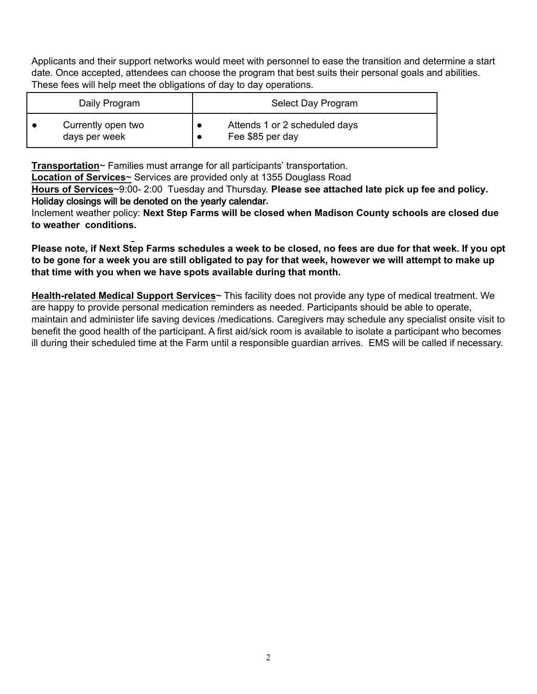Applicants and their support networks would meet with personnel to ease the transition and determine a start date. Once accepted, attendees can choose the program that best suits their personal goals and abilities. These fees will help meet the obligations of day to day operations.

| Daily Program      | Select Day Program            |
|--------------------|-------------------------------|
| Currently open two | Attends 1 or 2 scheduled days |
| days per week      | Fee \$85 per day              |

**Transportation**~ Families must arrange for all participants' transportation.

**Location of Services**~ Services are provided only at 1355 Douglass Road

**Hours of Services**~9:00- 2:00 Tuesday and Thursday. **Please see attached late pick up fee and policy.**  Holiday closings will be denoted on the yearly calendar**.**

Inclement weather policy: **Next Step Farms will be closed when Madison County schools are closed due to weather conditions.**

**Please note, if Next Step Farms schedules a week to be closed, no fees are due for that week. If you opt to be gone for a week you are still obligated to pay for that week, however we will attempt to make up that time with you when we have spots available during that month.** 

**Health-related Medical Support Services**~ This facility does not provide any type of medical treatment. We are happy to provide personal medication reminders as needed. Participants should be able to operate, maintain and administer life saving devices /medications. Caregivers may schedule any specialist onsite visit to benefit the good health of the participant. A first aid/sick room is available to isolate a participant who becomes ill during their scheduled time at the Farm until a responsible guardian arrives. EMS will be called if necessary.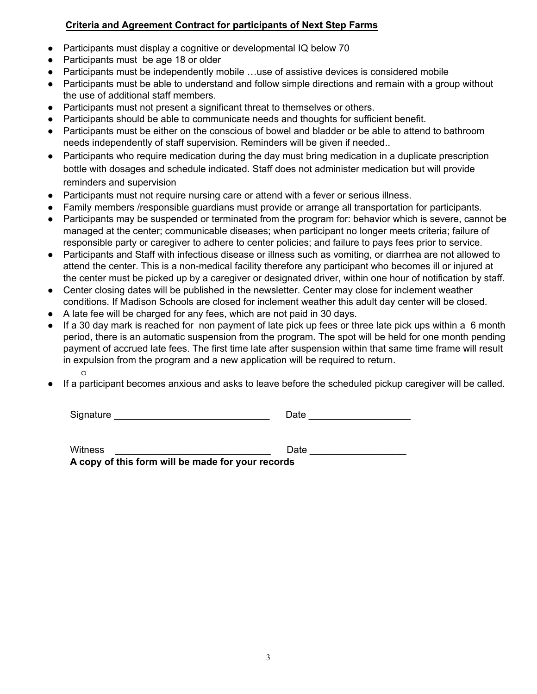### **Criteria and Agreement Contract for participants of Next Step Farms**

- Participants must display a cognitive or developmental IQ below 70
- Participants must be age 18 or older
- Participants must be independently mobile …use of assistive devices is considered mobile
- Participants must be able to understand and follow simple directions and remain with a group without the use of additional staff members.
- Participants must not present a significant threat to themselves or others.
- Participants should be able to communicate needs and thoughts for sufficient benefit.
- Participants must be either on the conscious of bowel and bladder or be able to attend to bathroom needs independently of staff supervision. Reminders will be given if needed..
- Participants who require medication during the day must bring medication in a duplicate prescription bottle with dosages and schedule indicated. Staff does not administer medication but will provide reminders and supervision
- Participants must not require nursing care or attend with a fever or serious illness.
- Family members /responsible guardians must provide or arrange all transportation for participants.
- Participants may be suspended or terminated from the program for: behavior which is severe, cannot be managed at the center; communicable diseases; when participant no longer meets criteria; failure of responsible party or caregiver to adhere to center policies; and failure to pays fees prior to service.
- Participants and Staff with infectious disease or illness such as vomiting, or diarrhea are not allowed to attend the center. This is a non-medical facility therefore any participant who becomes ill or injured at the center must be picked up by a caregiver or designated driver, within one hour of notification by staff.
- Center closing dates will be published in the newsletter. Center may close for inclement weather conditions. If Madison Schools are closed for inclement weather this adult day center will be closed.
- A late fee will be charged for any fees, which are not paid in 30 days.
- If a 30 day mark is reached for non payment of late pick up fees or three late pick ups within a 6 month period, there is an automatic suspension from the program. The spot will be held for one month pending payment of accrued late fees. The first time late after suspension within that same time frame will result in expulsion from the program and a new application will be required to return. o
- If a participant becomes anxious and asks to leave before the scheduled pickup caregiver will be called.

| Signature | ate |
|-----------|-----|
|-----------|-----|

| <b>Witness</b>                                    | Date |  |  |
|---------------------------------------------------|------|--|--|
| A copy of this form will be made for your records |      |  |  |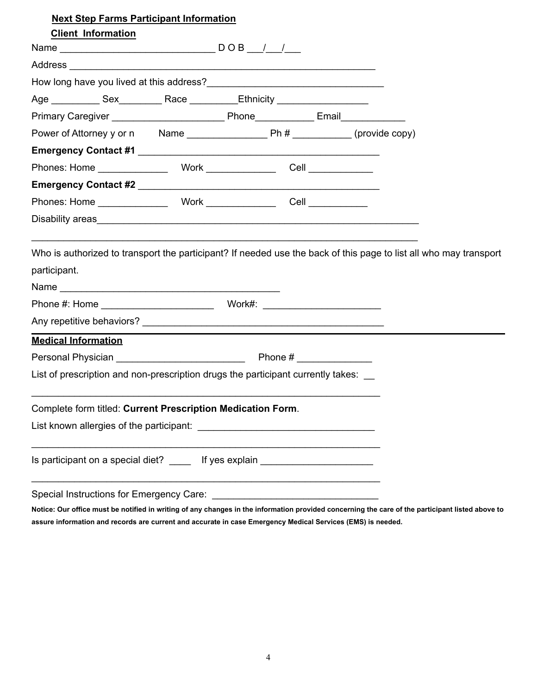| <b>Next Step Farms Participant Information</b>                                   |  |
|----------------------------------------------------------------------------------|--|
| <b>Client Information</b>                                                        |  |
|                                                                                  |  |
|                                                                                  |  |
|                                                                                  |  |
| Age _____________ Sex____________ Race ____________Ethnicity ___________________ |  |
|                                                                                  |  |
|                                                                                  |  |
|                                                                                  |  |
|                                                                                  |  |
|                                                                                  |  |
|                                                                                  |  |
|                                                                                  |  |
|                                                                                  |  |
| <b>Medical Information</b>                                                       |  |
|                                                                                  |  |
| List of prescription and non-prescription drugs the participant currently takes: |  |
| Complete form titled: Current Prescription Medication Form.                      |  |
|                                                                                  |  |
| Is participant on a special diet? _____ If yes explain ________________________  |  |
|                                                                                  |  |

**Notice: Our office must be notified in writing of any changes in the information provided concerning the care of the participant listed above to assure information and records are current and accurate in case Emergency Medical Services (EMS) is needed.**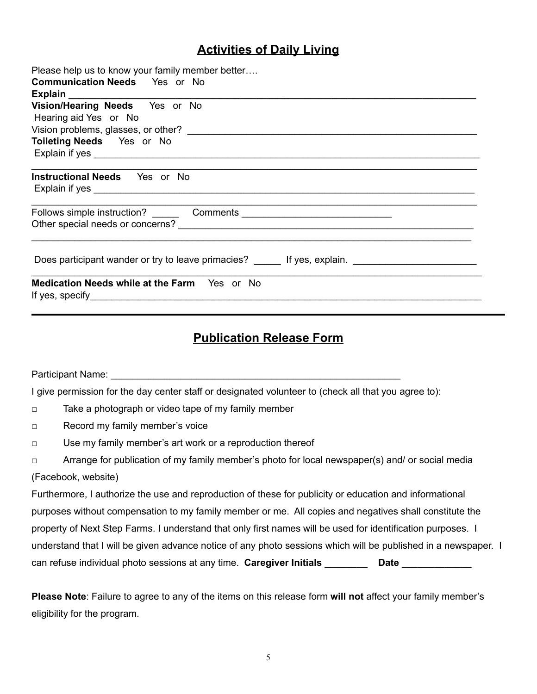## **Activities of Daily Living**

| Please help us to know your family member better                               |
|--------------------------------------------------------------------------------|
| <b>Communication Needs</b> Yes or No                                           |
|                                                                                |
| Vision/Hearing Needs Yes or No                                                 |
| Hearing aid Yes or No                                                          |
|                                                                                |
| Toileting Needs Yes or No                                                      |
|                                                                                |
| <b>Instructional Needs</b> Yes or No                                           |
|                                                                                |
| Does participant wander or try to leave primacies? The latest sexplain.        |
| Medication Needs while at the Farm Yes or No<br>If yes, specify $\blacksquare$ |

## **Publication Release Form**

Participant Name: **Example 20** and the set of the set of the set of the set of the set of the set of the set of the set of the set of the set of the set of the set of the set of the set of the set of the set of the set of

I give permission for the day center staff or designated volunteer to (check all that you agree to):

- □ Take a photograph or video tape of my family member
- □ Record my family member's voice
- □ Use my family member's art work or a reproduction thereof
- □ Arrange for publication of my family member's photo for local newspaper(s) and/ or social media (Facebook, website)

Furthermore, I authorize the use and reproduction of these for publicity or education and informational purposes without compensation to my family member or me. All copies and negatives shall constitute the property of Next Step Farms. I understand that only first names will be used for identification purposes. I understand that I will be given advance notice of any photo sessions which will be published in a newspaper. I can refuse individual photo sessions at any time. Caregiver Initials \_\_\_\_\_\_\_\_\_\_\_ Date \_\_\_\_\_\_\_\_\_\_\_\_

**Please Note**: Failure to agree to any of the items on this release form **will not** affect your family member's eligibility for the program.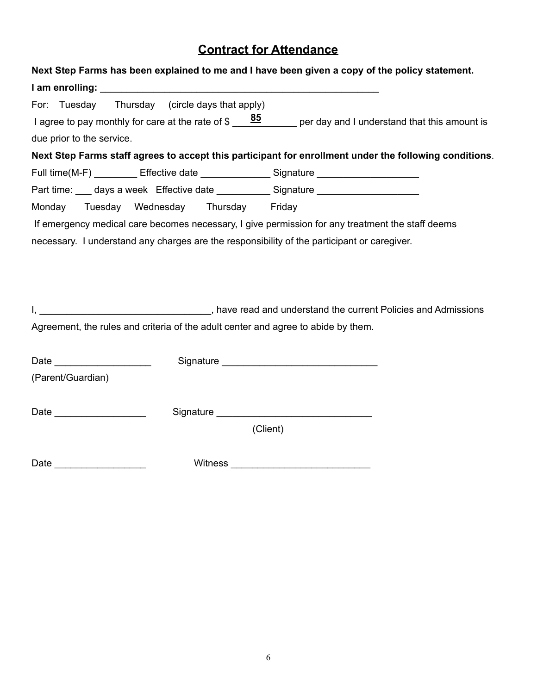# **Contract for Attendance**

| Next Step Farms has been explained to me and I have been given a copy of the policy statement.                                                                                              |
|---------------------------------------------------------------------------------------------------------------------------------------------------------------------------------------------|
|                                                                                                                                                                                             |
| For: Tuesday Thursday (circle days that apply)<br>I agree to pay monthly for care at the rate of $\frac{85}{200}$ per day and I understand that this amount is<br>due prior to the service. |
| Next Step Farms staff agrees to accept this participant for enrollment under the following conditions.                                                                                      |
| Full time(M-F) __________ Effective date _______________ Signature _____________                                                                                                            |
| Part time: ___ days a week Effective date __________ Signature _________________<br>Tuesday Wednesday Thursday Friday<br>Monday                                                             |
| If emergency medical care becomes necessary, I give permission for any treatment the staff deems                                                                                            |
| necessary. I understand any charges are the responsibility of the participant or caregiver.                                                                                                 |
| Agreement, the rules and criteria of the adult center and agree to abide by them.                                                                                                           |
| Date _____________________                                                                                                                                                                  |
| (Parent/Guardian)                                                                                                                                                                           |
| (Client)                                                                                                                                                                                    |
| Date _____________________                                                                                                                                                                  |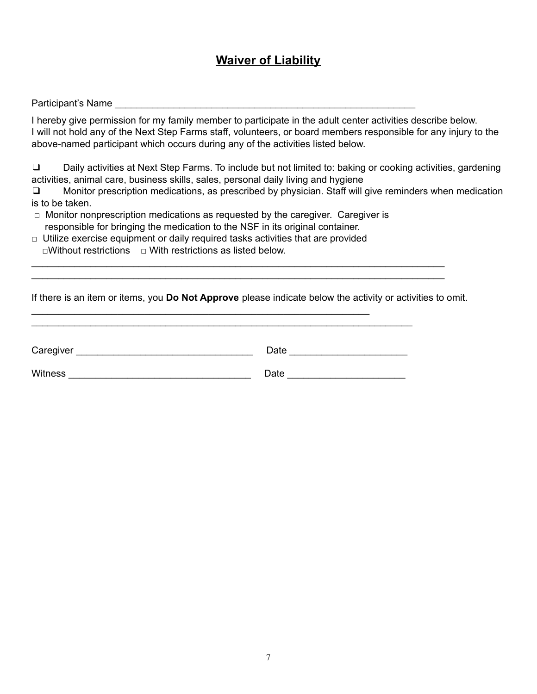## **Waiver of Liability**

#### Participant's Name

I hereby give permission for my family member to participate in the adult center activities describe below. I will not hold any of the Next Step Farms staff, volunteers, or board members responsible for any injury to the above-named participant which occurs during any of the activities listed below.

❑ Daily activities at Next Step Farms. To include but not limited to: baking or cooking activities, gardening activities, animal care, business skills, sales, personal daily living and hygiene

❑ Monitor prescription medications, as prescribed by physician. Staff will give reminders when medication is to be taken.

 $\Box$  Monitor nonprescription medications as requested by the caregiver. Caregiver is responsible for bringing the medication to the NSF in its original container.

 $\Box$  Utilize exercise equipment or daily required tasks activities that are provided □Without restrictions □ With restrictions as listed below.

\_\_\_\_\_\_\_\_\_\_\_\_\_\_\_\_\_\_\_\_\_\_\_\_\_\_\_\_\_\_\_\_\_\_\_\_\_\_\_\_\_\_\_\_\_\_\_\_\_\_\_\_\_\_\_\_\_\_\_\_\_\_\_

If there is an item or items, you **Do Not Approve** please indicate below the activity or activities to omit.

\_\_\_\_\_\_\_\_\_\_\_\_\_\_\_\_\_\_\_\_\_\_\_\_\_\_\_\_\_\_\_\_\_\_\_\_\_\_\_\_\_\_\_\_\_\_\_\_\_\_\_\_\_\_\_\_\_\_\_\_\_\_\_\_\_\_\_\_\_\_\_\_\_\_\_\_\_ \_\_\_\_\_\_\_\_\_\_\_\_\_\_\_\_\_\_\_\_\_\_\_\_\_\_\_\_\_\_\_\_\_\_\_\_\_\_\_\_\_\_\_\_\_\_\_\_\_\_\_\_\_\_\_\_\_\_\_\_\_\_\_\_\_\_\_\_\_\_\_\_\_\_\_\_\_

| Caregiver      | Date |
|----------------|------|
| <b>Witness</b> | Date |

\_\_\_\_\_\_\_\_\_\_\_\_\_\_\_\_\_\_\_\_\_\_\_\_\_\_\_\_\_\_\_\_\_\_\_\_\_\_\_\_\_\_\_\_\_\_\_\_\_\_\_\_\_\_\_\_\_\_\_\_\_\_\_\_\_\_\_\_\_\_\_